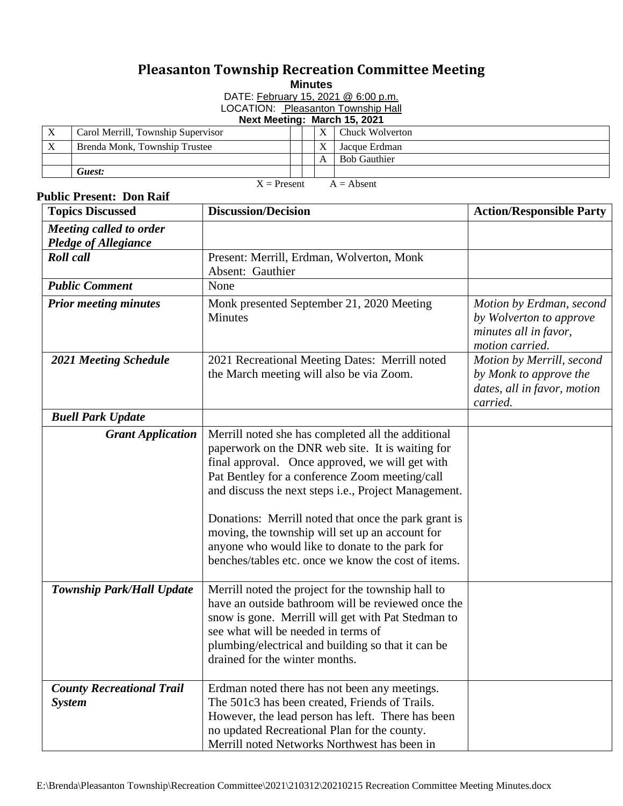## **Pleasanton Township Recreation Committee Meeting**

**Minutes**

DATE: February 15, 2021 @ 6:00 p.m.

LOCATION: Pleasanton Township Hall

## **Next Meeting: March 15, 2021**

| X                             | Carol Merrill, Township Supervisor |  |  | Chuck Wolverton     |  |  |  |
|-------------------------------|------------------------------------|--|--|---------------------|--|--|--|
| $\mathbf{v}$<br>$\Lambda$     | Brenda Monk, Township Trustee      |  |  | Jacque Erdman       |  |  |  |
|                               |                                    |  |  | <b>Bob Gauthier</b> |  |  |  |
|                               | Guest:                             |  |  |                     |  |  |  |
| $X =$ Present<br>$A = Absent$ |                                    |  |  |                     |  |  |  |

## **Public Present: Don Raif Topics Discussed 12.1 Discussion/Decision Action/Responsible Party** *Meeting called to order Pledge of Allegiance Roll call* **Present: Merrill, Erdman, Wolverton, Monk** Absent: Gauthier *Public Comment* None *Prior meeting minutes* Monk presented September 21, 2020 Meeting **Minutes** *Motion by Erdman, second by Wolverton to approve minutes all in favor, motion carried.* **2021 Meeting Schedule** 2021 Recreational Meeting Dates: Merrill noted the March meeting will also be via Zoom. *Motion by Merrill, second by Monk to approve the dates, all in favor, motion carried. Buell Park Update Grant Application* | Merrill noted she has completed all the additional paperwork on the DNR web site. It is waiting for final approval. Once approved, we will get with Pat Bentley for a conference Zoom meeting/call and discuss the next steps i.e., Project Management. Donations: Merrill noted that once the park grant is moving, the township will set up an account for anyone who would like to donate to the park for benches/tables etc. once we know the cost of items. **Township Park/Hall Update** Merrill noted the project for the township hall to have an outside bathroom will be reviewed once the snow is gone. Merrill will get with Pat Stedman to see what will be needed in terms of plumbing/electrical and building so that it can be drained for the winter months. *County Recreational Trail System* Erdman noted there has not been any meetings. The 501c3 has been created, Friends of Trails. However, the lead person has left. There has been no updated Recreational Plan for the county. Merrill noted Networks Northwest has been in